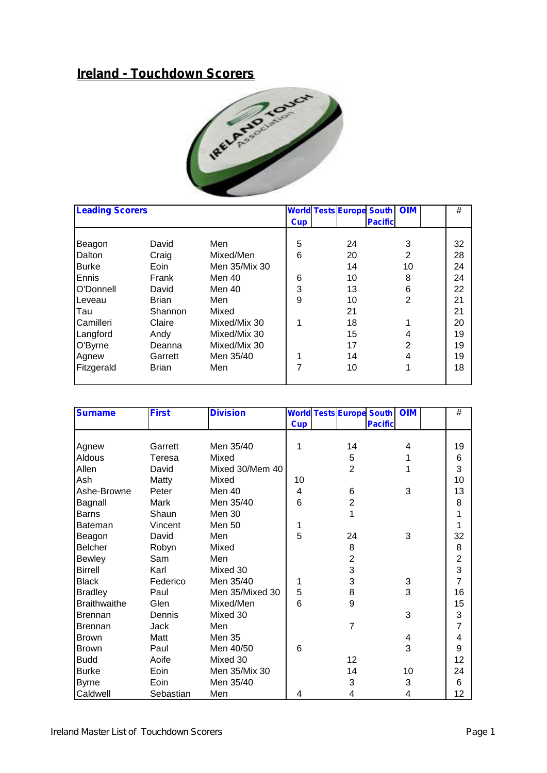## **Ireland - Touchdown Scorers**



| <b>Leading Scorers</b> |              |               |            | <b>World Tests Europe South   OIM</b> |                |                | #  |
|------------------------|--------------|---------------|------------|---------------------------------------|----------------|----------------|----|
|                        |              |               | <b>Cup</b> |                                       | <b>Pacific</b> |                |    |
| Beagon                 | David        | Men           | 5          | 24                                    |                | 3              | 32 |
| Dalton                 | Craig        | Mixed/Men     | 6          | 20                                    |                | $\overline{2}$ | 28 |
| <b>Burke</b>           | Eoin         | Men 35/Mix 30 |            | 14                                    |                | 10             | 24 |
| Ennis                  | Frank        | Men 40        | 6          | 10                                    |                | 8              | 24 |
| O'Donnell              | David        | Men 40        | 3          | 13                                    |                | 6              | 22 |
| Leveau                 | <b>Brian</b> | Men           | 9          | 10                                    |                | $\overline{2}$ | 21 |
| Tau                    | Shannon      | Mixed         |            | 21                                    |                |                | 21 |
| Camilleri              | Claire       | Mixed/Mix 30  | 1          | 18                                    |                | 1              | 20 |
| Langford               | Andy         | Mixed/Mix 30  |            | 15                                    |                | 4              | 19 |
| O'Byrne                | Deanna       | Mixed/Mix 30  |            | 17                                    |                | 2              | 19 |
| Agnew                  | Garrett      | Men 35/40     | 4          | 14                                    |                | 4              | 19 |
| Fitzgerald             | <b>Brian</b> | Men           | 7          | 10                                    |                | 1              | 18 |
|                        |              |               |            |                                       |                |                |    |

| <b>Surname</b>      | <b>First</b> | <b>Division</b> |            |                | <b>World Tests Europe South OIM</b> |    | $\#$           |
|---------------------|--------------|-----------------|------------|----------------|-------------------------------------|----|----------------|
|                     |              |                 | <b>Cup</b> |                | <b>Pacific</b>                      |    |                |
|                     |              |                 |            |                |                                     |    |                |
| Agnew               | Garrett      | Men 35/40       | 1          | 14             |                                     | 4  | 19             |
| Aldous              | Teresa       | Mixed           |            | 5              |                                     | 1  | 6              |
| Allen               | David        | Mixed 30/Mem 40 |            | $\overline{2}$ |                                     | 1  | 3              |
| Ash                 | Matty        | Mixed           | 10         |                |                                     |    | 10             |
| Ashe-Browne         | Peter        | Men 40          | 4          | 6              |                                     | 3  | 13             |
| Bagnall             | Mark         | Men 35/40       | 6          | $\overline{c}$ |                                     |    | 8              |
| <b>Barns</b>        | Shaun        | <b>Men 30</b>   |            | 1              |                                     |    |                |
| Bateman             | Vincent      | Men 50          |            |                |                                     |    |                |
| Beagon              | David        | Men             | 5          | 24             |                                     | 3  | 32             |
| <b>Belcher</b>      | Robyn        | Mixed           |            | 8              |                                     |    | 8              |
| <b>Bewley</b>       | Sam          | Men             |            | $\overline{2}$ |                                     |    | $\overline{2}$ |
| <b>Birrell</b>      | Karl         | Mixed 30        |            | 3              |                                     |    | 3              |
| <b>Black</b>        | Federico     | Men 35/40       | 1          | 3              |                                     | 3  | 7              |
| <b>Bradley</b>      | Paul         | Men 35/Mixed 30 | 5          | 8              |                                     | 3  | 16             |
| <b>Braithwaithe</b> | Glen         | Mixed/Men       | 6          | 9              |                                     |    | 15             |
| <b>Brennan</b>      | Dennis       | Mixed 30        |            |                |                                     | 3  | 3              |
| <b>Brennan</b>      | Jack         | Men             |            | $\overline{7}$ |                                     |    | 7              |
| <b>Brown</b>        | Matt         | <b>Men 35</b>   |            |                |                                     | 4  | 4              |
| <b>Brown</b>        | Paul         | Men 40/50       | 6          |                |                                     | 3  | 9              |
| <b>Budd</b>         | Aoife        | Mixed 30        |            | 12             |                                     |    | 12             |
| <b>Burke</b>        | Eoin         | Men 35/Mix 30   |            | 14             |                                     | 10 | 24             |
| <b>Byrne</b>        | Eoin         | Men 35/40       |            | 3              |                                     | 3  | 6              |
| Caldwell            | Sebastian    | Men             | 4          | 4              |                                     | 4  | 12             |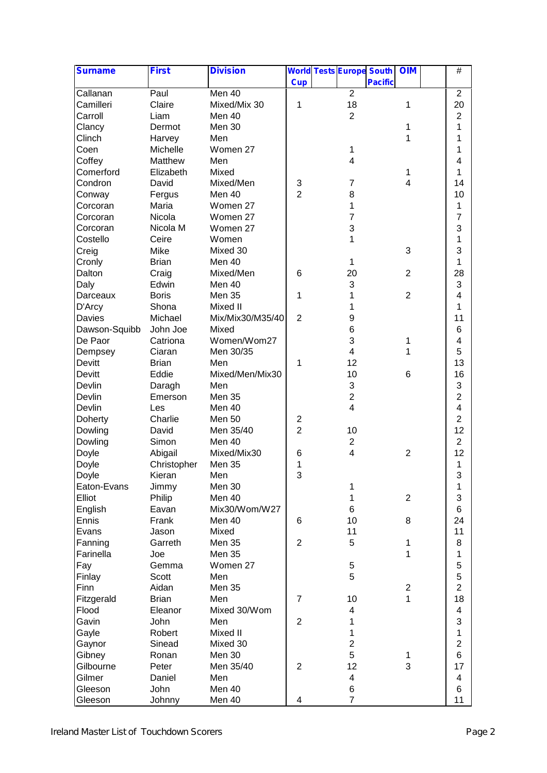| <b>Surname</b> | <b>First</b> | <b>Division</b>  |                | <b>World Tests Europe South</b> |                | <b>OIM</b>     | $\overline{\#}$ |
|----------------|--------------|------------------|----------------|---------------------------------|----------------|----------------|-----------------|
|                |              |                  | <b>Cup</b>     |                                 | <b>Pacific</b> |                |                 |
| Callanan       | Paul         | Men 40           |                | $\overline{2}$                  |                |                | $\overline{2}$  |
| Camilleri      | Claire       | Mixed/Mix 30     | 1              | 18                              |                | 1              | 20              |
| Carroll        | Liam         | Men 40           |                | $\overline{2}$                  |                |                | $\overline{c}$  |
| Clancy         | Dermot       | Men 30           |                |                                 |                | 1              | 1               |
| Clinch         | Harvey       | Men              |                |                                 |                | 1              | 1               |
| Coen           | Michelle     | Women 27         |                | 1                               |                |                | 1               |
| Coffey         | Matthew      | Men              |                | $\overline{\mathbf{4}}$         |                |                | 4               |
| Comerford      | Elizabeth    | Mixed            |                |                                 |                | 1              | 1               |
| Condron        | David        | Mixed/Men        | 3              | 7                               |                | 4              | 14              |
| Conway         | Fergus       | Men 40           | $\overline{2}$ | 8                               |                |                | 10              |
| Corcoran       | Maria        | Women 27         |                | 1                               |                |                | 1               |
| Corcoran       | Nicola       | Women 27         |                | 7                               |                |                | 7               |
| Corcoran       | Nicola M     | Women 27         |                | 3                               |                |                | 3               |
| Costello       | Ceire        | Women            |                | 1                               |                |                | 1               |
| Creig          | Mike         | Mixed 30         |                |                                 |                | 3              | 3               |
| Cronly         | <b>Brian</b> | Men 40           |                | 1                               |                |                | 1               |
| Dalton         | Craig        | Mixed/Men        | 6              | 20                              |                | $\overline{2}$ | 28              |
| Daly           | Edwin        | Men 40           |                | 3                               |                |                | 3               |
| Darceaux       | <b>Boris</b> | Men 35           | 1              | 1                               |                | $\overline{2}$ | $\overline{4}$  |
| D'Arcy         | Shona        | Mixed II         |                | 1                               |                |                | 1               |
| Davies         | Michael      | Mix/Mix30/M35/40 | $\overline{2}$ | 9                               |                |                | 11              |
| Dawson-Squibb  | John Joe     | Mixed            |                | 6                               |                |                | 6               |
| De Paor        | Catriona     | Women/Wom27      |                | 3                               |                | 1              | 4               |
| Dempsey        | Ciaran       | Men 30/35        |                | 4                               |                | 1              | 5               |
| Devitt         | <b>Brian</b> | Men              | 1              | 12                              |                |                | 13              |
| Devitt         | Eddie        | Mixed/Men/Mix30  |                | 10                              |                | 6              | 16              |
| Devlin         | Daragh       | Men              |                | 3                               |                |                | 3               |
| Devlin         | Emerson      | Men 35           |                | $\overline{2}$                  |                |                | $\overline{c}$  |
| Devlin         | Les          | Men 40           |                | 4                               |                |                | 4               |
| Doherty        | Charlie      | Men 50           | 2              |                                 |                |                | $\overline{2}$  |
| Dowling        | David        | Men 35/40        | $\overline{2}$ | 10                              |                |                | 12              |
| Dowling        | Simon        | Men 40           |                | $\overline{2}$                  |                |                | $\overline{2}$  |
| Doyle          | Abigail      | Mixed/Mix30      | 6              | 4                               |                | $\overline{2}$ | 12              |
| Doyle          | Christopher  | Men 35           | 1              |                                 |                |                | 1               |
| Doyle          | Kieran       | Men              | 3              |                                 |                |                | 3               |
| Eaton-Evans    | Jimmy        | Men 30           |                | 1                               |                |                | 1               |
| Elliot         | Philip       | Men 40           |                | 1                               |                | $\overline{c}$ | 3               |
| English        | Eavan        | Mix30/Wom/W27    |                | 6                               |                |                | 6               |
| Ennis          | Frank        | Men 40           | 6              | 10                              |                | 8              | 24              |
| Evans          | Jason        | Mixed            |                | 11                              |                |                | 11              |
| Fanning        | Garreth      | Men 35           | $\overline{2}$ | 5                               |                | 1              | 8               |
| Farinella      | Joe          | Men 35           |                |                                 |                | 1              | 1               |
| Fay            | Gemma        | Women 27         |                | $\mathbf 5$                     |                |                | 5               |
| Finlay         | Scott        | Men              |                | 5                               |                |                | 5               |
| Finn           | Aidan        | Men 35           |                |                                 |                | $\overline{c}$ | $\overline{2}$  |
| Fitzgerald     | <b>Brian</b> | Men              | $\overline{7}$ | 10                              |                | 1              | 18              |
| Flood          | Eleanor      | Mixed 30/Wom     |                | 4                               |                |                | 4               |
| Gavin          | John         | Men              | $\overline{2}$ | 1                               |                |                | 3               |
| Gayle          | Robert       | Mixed II         |                | 1                               |                |                | 1               |
|                |              | Mixed 30         |                | $\overline{2}$                  |                |                | $\overline{2}$  |
| Gaynor         | Sinead       | Men 30           |                | 5                               |                |                | 6               |
| Gibney         | Ronan        |                  | $\overline{2}$ | 12                              |                | 1<br>3         | 17              |
| Gilbourne      | Peter        | Men 35/40        |                |                                 |                |                |                 |
| Gilmer         | Daniel       | Men              |                | 4                               |                |                | 4               |
| Gleeson        | John         | Men 40           |                | 6                               |                |                | 6               |
| Gleeson        | Johnny       | Men 40           | 4              | $\overline{7}$                  |                |                | 11              |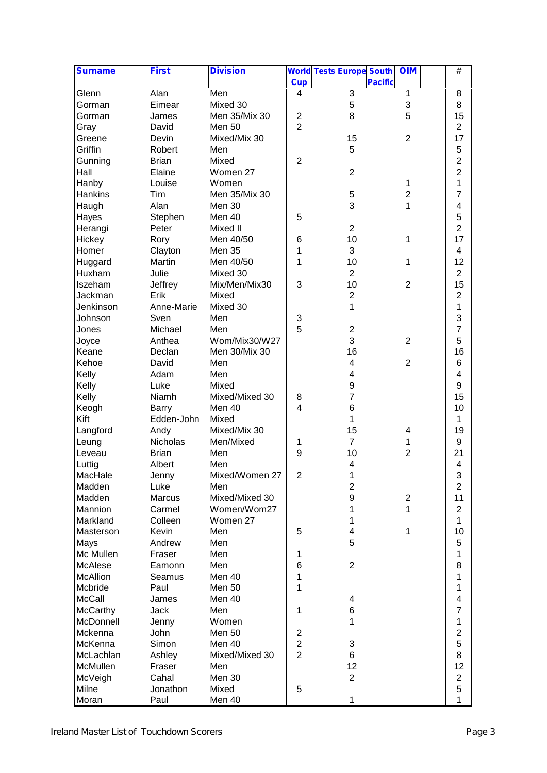| <b>Surname</b>           | <b>First</b> | <b>Division</b> |                                  | <b>World Tests Europe South</b> |                | <b>OIM</b>              | $\overline{\#}$         |
|--------------------------|--------------|-----------------|----------------------------------|---------------------------------|----------------|-------------------------|-------------------------|
|                          |              |                 | <b>Cup</b>                       |                                 | <b>Pacific</b> |                         |                         |
| Glenn                    | Alan         | Men             | 4                                | $\sqrt{3}$                      |                | $\mathbf{1}$            | 8                       |
| Gorman                   | Eimear       | Mixed 30        |                                  | 5                               |                | 3                       | 8                       |
| Gorman                   | James        | Men 35/Mix 30   | $\overline{\mathbf{c}}$          | 8                               |                | 5                       | 15                      |
| Gray                     | David        | Men 50          | $\overline{2}$                   |                                 |                |                         | $\overline{2}$          |
| Greene                   | Devin        | Mixed/Mix 30    |                                  | 15                              |                | $\overline{2}$          | 17                      |
| Griffin                  | Robert       | Men             |                                  | 5                               |                |                         | 5                       |
| Gunning                  | <b>Brian</b> | Mixed           | $\overline{2}$                   |                                 |                |                         | $\overline{2}$          |
| Hall                     | Elaine       | Women 27        |                                  | $\overline{2}$                  |                |                         | $\overline{c}$          |
| Hanby                    | Louise       | Women           |                                  |                                 |                | 1                       | 1                       |
| Hankins                  | Tim          | Men 35/Mix 30   |                                  | 5                               |                | $\overline{c}$          | 7                       |
| Haugh                    | Alan         | Men 30          |                                  | 3                               |                | 1                       | 4                       |
| Hayes                    | Stephen      | Men 40          | 5                                |                                 |                |                         | 5                       |
| Herangi                  | Peter        | Mixed II        |                                  | $\overline{2}$                  |                |                         | $\overline{2}$          |
| Hickey                   | Rory         | Men 40/50       | 6                                | 10                              |                | 1                       | 17                      |
| Homer                    | Clayton      | Men 35          | 1                                | 3                               |                |                         | 4                       |
| Huggard                  | Martin       | Men 40/50       | 1                                | 10                              |                | 1                       | 12                      |
| Huxham                   | Julie        | Mixed 30        |                                  | $\overline{2}$                  |                |                         | $\overline{2}$          |
| Iszeham                  | Jeffrey      | Mix/Men/Mix30   | 3                                | 10                              |                | $\overline{2}$          | 15                      |
| Jackman                  | Erik         | Mixed           |                                  | $\overline{2}$                  |                |                         | $\overline{2}$          |
| Jenkinson                | Anne-Marie   | Mixed 30        |                                  | 1                               |                |                         | 1                       |
| Johnson                  | Sven         | Men             | 3                                |                                 |                |                         | 3                       |
| Jones                    | Michael      | Men             | 5                                | $\overline{c}$                  |                |                         | $\overline{7}$          |
| Joyce                    | Anthea       | Wom/Mix30/W27   |                                  | 3                               |                | $\overline{2}$          | 5                       |
| Keane                    | Declan       | Men 30/Mix 30   |                                  | 16                              |                |                         | 16                      |
| Kehoe                    | David        | Men             |                                  | 4                               |                | $\overline{2}$          | 6                       |
| Kelly                    | Adam         | Men             |                                  | 4                               |                |                         | 4                       |
| Kelly                    | Luke         | Mixed           |                                  | 9                               |                |                         | 9                       |
| Kelly                    | Niamh        | Mixed/Mixed 30  | 8                                | $\overline{7}$                  |                |                         | 15                      |
| Keogh                    | Barry        | Men 40          | 4                                | 6                               |                |                         | 10                      |
| Kift                     | Edden-John   | Mixed           |                                  | 1                               |                |                         | 1                       |
| Langford                 | Andy         | Mixed/Mix 30    |                                  | 15                              |                | 4                       | 19                      |
| Leung                    | Nicholas     | Men/Mixed       | 1                                | $\overline{7}$                  |                | 1                       | 9                       |
| Leveau                   | <b>Brian</b> | Men             | 9                                | 10                              |                | $\overline{2}$          | 21                      |
| Luttig                   | Albert       | Men             |                                  | 4                               |                |                         | 4                       |
| MacHale                  | Jenny        | Mixed/Women 27  | $\overline{2}$                   | 1                               |                |                         | 3                       |
| Madden                   | Luke         | Men             |                                  | $\overline{c}$                  |                |                         | $\overline{2}$          |
| Madden                   | Marcus       | Mixed/Mixed 30  |                                  | 9                               |                | $\overline{\mathbf{c}}$ | 11                      |
| Mannion                  | Carmel       | Women/Wom27     |                                  | 1                               |                | 1                       | $\overline{c}$          |
| Markland                 | Colleen      | Women 27        |                                  | 1                               |                |                         | 1                       |
| Masterson                | Kevin        | Men             | 5                                | 4                               |                | 1                       | 10                      |
| Mays                     | Andrew       | Men             |                                  | 5                               |                |                         | 5                       |
| Mc Mullen                | Fraser       | Men             | 1                                |                                 |                |                         | 1                       |
| McAlese                  | Eamonn       | Men             | 6                                | $\overline{2}$                  |                |                         | 8                       |
| <b>McAllion</b>          |              | Men 40          | 1                                |                                 |                |                         | 1                       |
|                          | Seamus       |                 | 1                                |                                 |                |                         | 1                       |
| Mcbride<br><b>McCall</b> | Paul         | Men 50          |                                  |                                 |                |                         | $\overline{\mathbf{4}}$ |
|                          | James        | Men 40          |                                  | 4                               |                |                         | $\overline{7}$          |
| McCarthy                 | Jack         | Men             | 1                                | 6<br>1                          |                |                         |                         |
| McDonnell                | Jenny        | Women           |                                  |                                 |                |                         | 1                       |
| Mckenna                  | John         | Men 50          | $\overline{\mathbf{c}}$          |                                 |                |                         | $\overline{c}$          |
| McKenna                  | Simon        | Men 40          | $\overline{c}$<br>$\overline{2}$ | 3                               |                |                         | 5                       |
| McLachlan                | Ashley       | Mixed/Mixed 30  |                                  | 6                               |                |                         | 8                       |
| McMullen                 | Fraser       | Men             |                                  | 12                              |                |                         | 12                      |
| McVeigh                  | Cahal        | Men 30          |                                  | $\overline{2}$                  |                |                         | $\overline{c}$          |
| Milne                    | Jonathon     | Mixed           | 5                                |                                 |                |                         | 5                       |
| Moran                    | Paul         | Men 40          |                                  | 1                               |                |                         | 1                       |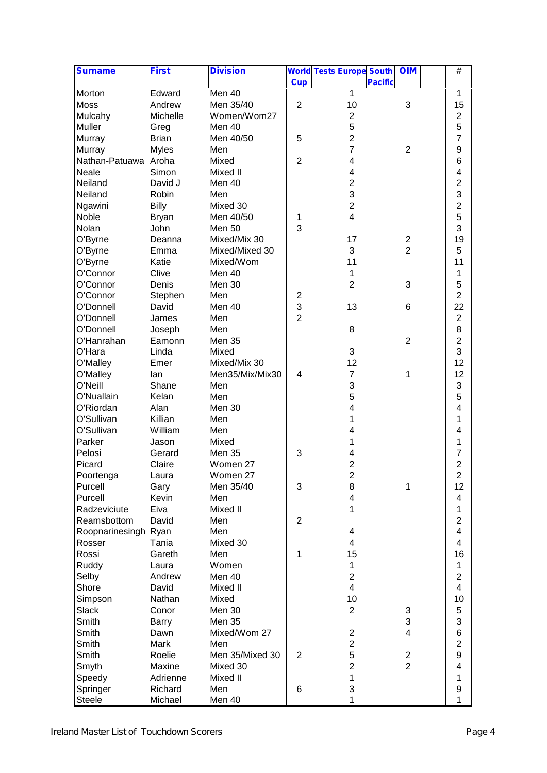| <b>Surname</b>       | <b>First</b> | <b>Division</b> |                | <b>World Tests Europe South</b> |                | <b>OIM</b>     | $\#$                    |
|----------------------|--------------|-----------------|----------------|---------------------------------|----------------|----------------|-------------------------|
|                      |              |                 | <b>Cup</b>     |                                 | <b>Pacific</b> |                |                         |
| Morton               | Edward       | Men 40          |                | $\mathbf{1}$                    |                |                | 1                       |
| Moss                 | Andrew       | Men 35/40       | $\overline{2}$ | 10                              |                | 3              | 15                      |
| Mulcahy              | Michelle     | Women/Wom27     |                | $\overline{2}$                  |                |                | $\overline{c}$          |
| Muller               | Greg         | Men 40          |                | 5                               |                |                | 5                       |
| Murray               | <b>Brian</b> | Men 40/50       | 5              | $\overline{2}$                  |                |                | $\overline{7}$          |
| Murray               | <b>Myles</b> | Men             |                | $\overline{7}$                  |                | $\overline{c}$ | 9                       |
| Nathan-Patuawa Aroha |              | Mixed           | $\overline{2}$ | 4                               |                |                | 6                       |
| Neale                | Simon        | Mixed II        |                | 4                               |                |                | 4                       |
| Neiland              | David J      | Men 40          |                | $\overline{\mathbf{c}}$         |                |                | $\overline{c}$          |
| Neiland              | Robin        | Men             |                | 3                               |                |                | 3                       |
| Ngawini              | <b>Billy</b> | Mixed 30        |                | $\overline{2}$                  |                |                | $\overline{c}$          |
| Noble                | <b>Bryan</b> | Men 40/50       | 1              | $\overline{\mathbf{4}}$         |                |                | 5                       |
| Nolan                | John         | Men 50          | 3              |                                 |                |                | 3                       |
| O'Byrne              | Deanna       | Mixed/Mix 30    |                | 17                              |                | $\overline{c}$ | 19                      |
| O'Byrne              | Emma         | Mixed/Mixed 30  |                | 3                               |                | $\overline{2}$ | 5                       |
| O'Byrne              | Katie        | Mixed/Wom       |                | 11                              |                |                | 11                      |
| O'Connor             | Clive        | Men 40          |                | 1                               |                |                | 1                       |
| O'Connor             | Denis        | Men 30          |                | $\overline{2}$                  |                | 3              | 5                       |
| O'Connor             | Stephen      | Men             | $\overline{c}$ |                                 |                |                | $\overline{2}$          |
| O'Donnell            | David        | Men 40          | 3              | 13                              |                | 6              | 22                      |
| O'Donnell            | James        | Men             | $\overline{2}$ |                                 |                |                | $\overline{c}$          |
| O'Donnell            | Joseph       | Men             |                | 8                               |                |                | 8                       |
| O'Hanrahan           | Eamonn       | Men 35          |                |                                 |                | $\overline{2}$ | $\overline{2}$          |
| O'Hara               | Linda        | Mixed           |                | 3                               |                |                | 3                       |
| O'Malley             | Emer         | Mixed/Mix 30    |                | 12                              |                |                | 12                      |
| O'Malley             | lan          | Men35/Mix/Mix30 | 4              | $\overline{7}$                  |                | 1              | 12                      |
| O'Neill              | Shane        | Men             |                | 3                               |                |                | 3                       |
| O'Nuallain           | Kelan        | Men             |                | 5                               |                |                | 5                       |
| O'Riordan            | Alan         | Men 30          |                | 4                               |                |                | 4                       |
| O'Sullivan           | Killian      | Men             |                | 1                               |                |                | 1                       |
| O'Sullivan           | William      | Men             |                | 4                               |                |                | 4                       |
| Parker               | Jason        | Mixed           |                | 1                               |                |                | 1                       |
| Pelosi               | Gerard       | Men 35          | 3              | 4                               |                |                | 7                       |
| Picard               | Claire       | Women 27        |                | $\overline{\mathbf{c}}$         |                |                | $\overline{c}$          |
| Poortenga            | Laura        | Women 27        |                | $\overline{c}$                  |                |                | $\overline{c}$          |
| Purcell              | Gary         | Men 35/40       | 3              | 8                               |                | 1              | 12                      |
| Purcell              | Kevin        | Men             |                | $\overline{\mathbf{4}}$         |                |                | 4                       |
| Radzeviciute         | Eiva         | Mixed II        |                | 1                               |                |                | 1                       |
| Reamsbottom          | David        | Men             | $\overline{2}$ |                                 |                |                | $\overline{2}$          |
| Roopnarinesingh Ryan |              | Men             |                | 4                               |                |                | 4                       |
| Rosser               | Tania        | Mixed 30        |                | 4                               |                |                | 4                       |
| Rossi                | Gareth       | Men             | 1              | 15                              |                |                | 16                      |
| Ruddy                | Laura        | Women           |                | 1                               |                |                | 1                       |
| Selby                | Andrew       | Men 40          |                | $\overline{2}$                  |                |                | $\overline{2}$          |
| Shore                | David        | Mixed II        |                | $\overline{\mathbf{4}}$         |                |                | $\overline{\mathbf{4}}$ |
| Simpson              | Nathan       | Mixed           |                | 10                              |                |                | 10                      |
|                      | Conor        | Men 30          |                | $\overline{2}$                  |                |                |                         |
| Slack                |              | <b>Men 35</b>   |                |                                 |                | 3<br>3         | 5<br>3                  |
| Smith                | <b>Barry</b> |                 |                |                                 |                | $\overline{4}$ |                         |
| Smith                | Dawn         | Mixed/Wom 27    |                | $\overline{2}$                  |                |                | 6                       |
| Smith                | Mark         | Men             |                | $\overline{c}$                  |                |                | $\overline{c}$          |
| Smith                | Roelie       | Men 35/Mixed 30 | $\overline{2}$ | 5                               |                | 2              | 9                       |
| Smyth                | Maxine       | Mixed 30        |                | $\overline{2}$                  |                | $\overline{2}$ | 4                       |
| Speedy               | Adrienne     | Mixed II        |                | 1                               |                |                | 1                       |
| Springer             | Richard      | Men             | 6              | 3                               |                |                | 9                       |
| <b>Steele</b>        | Michael      | Men 40          |                | 1                               |                |                | 1                       |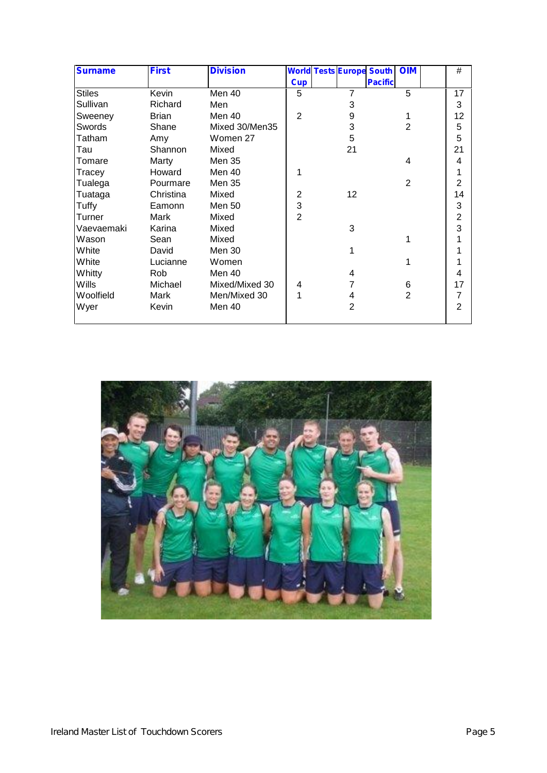| <b>Surname</b> | <b>First</b> | <b>Division</b> |                |    | <b>World Tests Europe South</b> | <b>OIM</b>     | #              |
|----------------|--------------|-----------------|----------------|----|---------------------------------|----------------|----------------|
|                |              |                 | <b>Cup</b>     |    | <b>Pacific</b>                  |                |                |
| <b>Stiles</b>  | Kevin        | Men 40          | 5              | 7  |                                 | 5              | 17             |
| Sullivan       | Richard      | Men             |                | 3  |                                 |                | 3              |
| Sweeney        | <b>Brian</b> | Men 40          | 2              | 9  |                                 |                | 12             |
| Swords         | Shane        | Mixed 30/Men35  |                | 3  |                                 | $\overline{2}$ | 5              |
| Tatham         | Amy          | Women 27        |                | 5  |                                 |                | 5              |
| Tau            | Shannon      | Mixed           |                | 21 |                                 |                | 21             |
| Tomare         | Marty        | Men 35          |                |    |                                 | 4              | 4              |
| Tracey         | Howard       | Men 40          |                |    |                                 |                |                |
| Tualega        | Pourmare     | Men 35          |                |    |                                 | $\overline{2}$ | $\overline{2}$ |
| Tuataga        | Christina    | Mixed           | $\overline{2}$ | 12 |                                 |                | 14             |
| Tuffy          | Eamonn       | Men 50          | 3              |    |                                 |                | 3              |
| Turner         | Mark         | Mixed           | $\overline{2}$ |    |                                 |                | $\overline{2}$ |
| Vaevaemaki     | Karina       | Mixed           |                | 3  |                                 |                | 3              |
| Wason          | Sean         | Mixed           |                |    |                                 | 1              |                |
| White          | David        | <b>Men 30</b>   |                | 1  |                                 |                |                |
| White          | Lucianne     | Women           |                |    |                                 | 1              |                |
| Whitty         | Rob          | Men 40          |                | 4  |                                 |                | 4              |
| Wills          | Michael      | Mixed/Mixed 30  | 4              |    |                                 | 6              | 17             |
| Woolfield      | Mark         | Men/Mixed 30    |                | 4  |                                 | $\overline{2}$ | $\overline{7}$ |
| Wyer           | Kevin        | Men 40          |                | 2  |                                 |                | $\overline{2}$ |
|                |              |                 |                |    |                                 |                |                |

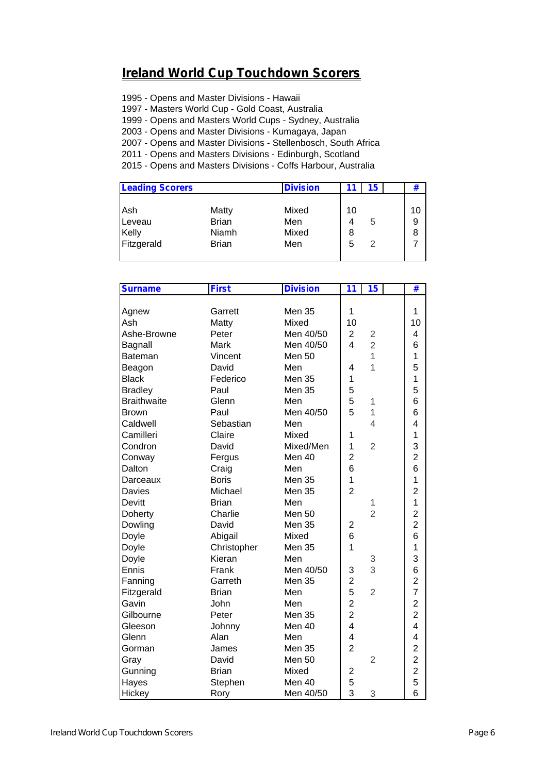## **Ireland World Cup Touchdown Scorers**

1995 - Opens and Master Divisions - Hawaii

1997 - Masters World Cup - Gold Coast, Australia

1999 - Opens and Masters World Cups - Sydney, Australia

2003 - Opens and Master Divisions - Kumagaya, Japan

2007 - Opens and Master Divisions - Stellenbosch, South Africa

2011 - Opens and Masters Divisions - Edinburgh, Scotland

2015 - Opens and Masters Divisions - Coffs Harbour, Australia

| <b>Leading Scorers</b> |              | <b>Division</b> |    | 15 | #  |
|------------------------|--------------|-----------------|----|----|----|
| Ash                    | Matty        | Mixed           | 10 |    | 10 |
|                        |              |                 |    |    |    |
| Leveau                 | <b>Brian</b> | Men             |    | 5  | 9  |
| Kelly                  | Niamh        | Mixed           | 8  |    | 8  |
| Fitzgerald             | <b>Brian</b> | Men             | 5  | 2  | 7  |

| <b>Surname</b>     | <b>First</b> | <b>Division</b>   | 11<br>15                                  | #                       |
|--------------------|--------------|-------------------|-------------------------------------------|-------------------------|
|                    |              |                   |                                           |                         |
| Agnew              | Garrett      | <b>Men 35</b>     | 1                                         | 1                       |
| Ash                | Matty        | Mixed             | 10                                        | 10                      |
| Ashe-Browne        | Peter        | Men 40/50         | $\overline{2}$<br>$\overline{c}$          | 4                       |
| Bagnall            | Mark         | Men 40/50         | $\overline{2}$<br>$\overline{\mathbf{4}}$ | 6                       |
| <b>Bateman</b>     | Vincent      | Men <sub>50</sub> | 1                                         | 1                       |
| Beagon             | David        | Men               | 1<br>4                                    | 5                       |
| <b>Black</b>       | Federico     | Men 35            | $\mathbf 1$                               | 1                       |
| <b>Bradley</b>     | Paul         | <b>Men 35</b>     | 5                                         | 5                       |
| <b>Braithwaite</b> | Glenn        | Men               | 5<br>1                                    | 6                       |
| <b>Brown</b>       | Paul         | Men 40/50         | 5<br>1                                    | 6                       |
| Caldwell           | Sebastian    | Men               | $\overline{4}$                            | 4                       |
| Camilleri          | Claire       | Mixed             | 1                                         | $\mathbf{1}$            |
| Condron            | David        | Mixed/Men         | $\mathbf 1$<br>$\overline{2}$             | 3                       |
| Conway             | Fergus       | Men 40            | $\overline{2}$                            | $\overline{2}$          |
| Dalton             | Craig        | Men               | 6                                         | 6                       |
| Darceaux           | <b>Boris</b> | <b>Men 35</b>     | $\mathbf 1$                               | 1                       |
| Davies             | Michael      | Men 35            | $\overline{2}$                            | $\overline{2}$          |
| Devitt             | <b>Brian</b> | Men               | 1                                         | 1                       |
| Doherty            | Charlie      | Men <sub>50</sub> | $\overline{2}$                            | $\overline{\mathbf{c}}$ |
| Dowling            | David        | Men 35            | 2                                         | $\overline{c}$          |
| Doyle              | Abigail      | Mixed             | 6                                         | 6                       |
| Doyle              | Christopher  | Men 35            | $\overline{1}$                            | 1                       |
| Doyle              | Kieran       | Men               | 3                                         | 3                       |
| Ennis              | Frank        | Men 40/50         | 3<br>3                                    | 6                       |
| Fanning            | Garreth      | Men 35            | $\overline{2}$                            | $\overline{\mathbf{c}}$ |
| Fitzgerald         | <b>Brian</b> | Men               | 5<br>$\overline{2}$                       | $\overline{7}$          |
| Gavin              | John         | Men               | $\overline{2}$                            | $\overline{c}$          |
| Gilbourne          | Peter        | Men 35            | $\overline{c}$                            | $\overline{c}$          |
| Gleeson            | Johnny       | Men 40            | 4                                         | 4                       |
| Glenn              | Alan         | Men               | $\overline{\mathbf{4}}$                   | 4                       |
| Gorman             | James        | Men 35            | $\overline{2}$                            | $\overline{c}$          |
| Gray               | David        | <b>Men 50</b>     | $\overline{2}$                            | $\overline{c}$          |
| Gunning            | <b>Brian</b> | Mixed             | 2                                         | $\overline{\mathbf{c}}$ |
| Hayes              | Stephen      | Men 40            | 5                                         | 5                       |
| Hickey             | Rory         | Men 40/50         | 3<br>3                                    | 6                       |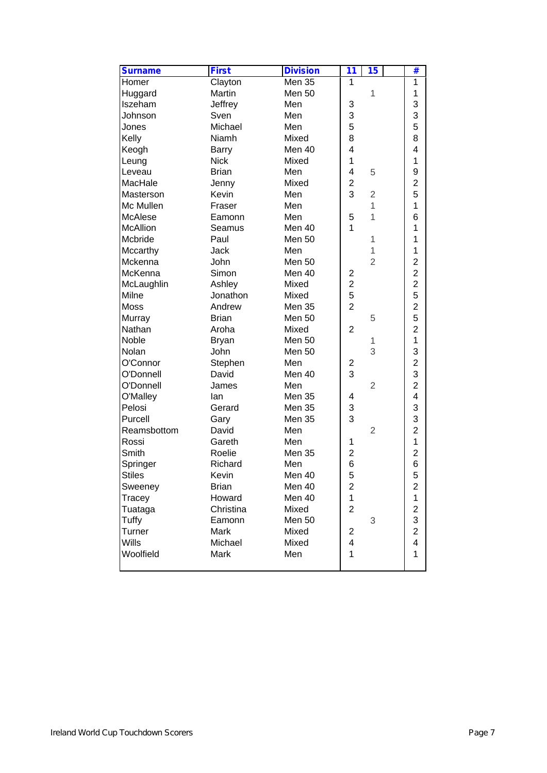| <b>Surname</b>  | <b>First</b> | <b>Division</b> | 11                      | 15             | #                       |  |
|-----------------|--------------|-----------------|-------------------------|----------------|-------------------------|--|
| Homer           | Clayton      | <b>Men 35</b>   | 1                       |                | 1                       |  |
| Huggard         | Martin       | <b>Men 50</b>   |                         | 1              | 1                       |  |
| Iszeham         | Jeffrey      | Men             | 3                       |                | 3                       |  |
| Johnson         | Sven         | Men             | 3                       |                | 3                       |  |
| Jones           | Michael      | Men             | 5                       |                | 5                       |  |
| Kelly           | Niamh        | Mixed           | 8                       |                | 8                       |  |
| Keogh           | <b>Barry</b> | Men 40          | 4                       |                | 4                       |  |
| Leung           | <b>Nick</b>  | Mixed           | 1                       |                | 1                       |  |
| Leveau          | <b>Brian</b> | Men             | 4                       | 5              | 9                       |  |
| MacHale         | Jenny        | Mixed           | $\overline{2}$          |                | $\overline{2}$          |  |
| Masterson       | Kevin        | Men             | 3                       | $\overline{2}$ | 5                       |  |
| Mc Mullen       | Fraser       | Men             |                         | 1              | 1                       |  |
| <b>McAlese</b>  | Eamonn       | Men             | 5                       | 1              | 6                       |  |
| <b>McAllion</b> | Seamus       | Men 40          | 1                       |                | 1                       |  |
| Mcbride         | Paul         | <b>Men 50</b>   |                         | 1              | 1                       |  |
| Mccarthy        | Jack         | Men             |                         | 1              | 1                       |  |
| Mckenna         | John         | Men 50          |                         | $\overline{2}$ | $\overline{2}$          |  |
| McKenna         | Simon        | Men 40          | 2                       |                | $\overline{2}$          |  |
| McLaughlin      | Ashley       | Mixed           | $\overline{2}$          |                | $\overline{2}$          |  |
| Milne           | Jonathon     | Mixed           | 5                       |                | 5                       |  |
| <b>Moss</b>     | Andrew       | <b>Men 35</b>   | $\overline{2}$          |                | $\overline{2}$          |  |
| Murray          | <b>Brian</b> | Men 50          |                         | 5              | 5                       |  |
| Nathan          | Aroha        | Mixed           | $\overline{2}$          |                | $\overline{2}$          |  |
| Noble           | <b>Bryan</b> | <b>Men 50</b>   |                         | 1              | 1                       |  |
| Nolan           | John         | Men 50          |                         | 3              | 3                       |  |
| O'Connor        | Stephen      | Men             | 2                       |                | $\overline{2}$          |  |
| O'Donnell       | David        | Men 40          | 3                       |                | 3                       |  |
| O'Donnell       | James        | Men             |                         | $\overline{2}$ | $\overline{2}$          |  |
| O'Malley        | lan          | <b>Men 35</b>   | 4                       |                | 4                       |  |
| Pelosi          | Gerard       | <b>Men 35</b>   | 3                       |                | 3                       |  |
| Purcell         | Gary         | Men 35          | 3                       |                | 3                       |  |
| Reamsbottom     | David        | Men             |                         | $\overline{2}$ | $\overline{c}$          |  |
| Rossi           | Gareth       | Men             | 1                       |                | 1                       |  |
| Smith           | Roelie       | Men 35          | 2                       |                | $\overline{c}$          |  |
| Springer        | Richard      | Men             | 6                       |                | 6                       |  |
| <b>Stiles</b>   | Kevin        | Men 40          | 5                       |                | 5                       |  |
| Sweeney         | <b>Brian</b> | Men 40          | $\overline{\mathbf{c}}$ |                | $\mathbf 2$             |  |
| Tracey          | Howard       | Men 40          | $\mathbf 1$             |                | $\mathbf 1$             |  |
| Tuataga         | Christina    | Mixed           | $\overline{2}$          |                | $\overline{c}$          |  |
| Tuffy           | Eamonn       | <b>Men 50</b>   |                         | 3              | 3                       |  |
| <b>Turner</b>   | Mark         | Mixed           | 2                       |                | $\overline{c}$          |  |
| Wills           | Michael      | Mixed           | 4                       |                | $\overline{\mathbf{4}}$ |  |
| Woolfield       | Mark         | Men             | 1                       |                | 1                       |  |
|                 |              |                 |                         |                |                         |  |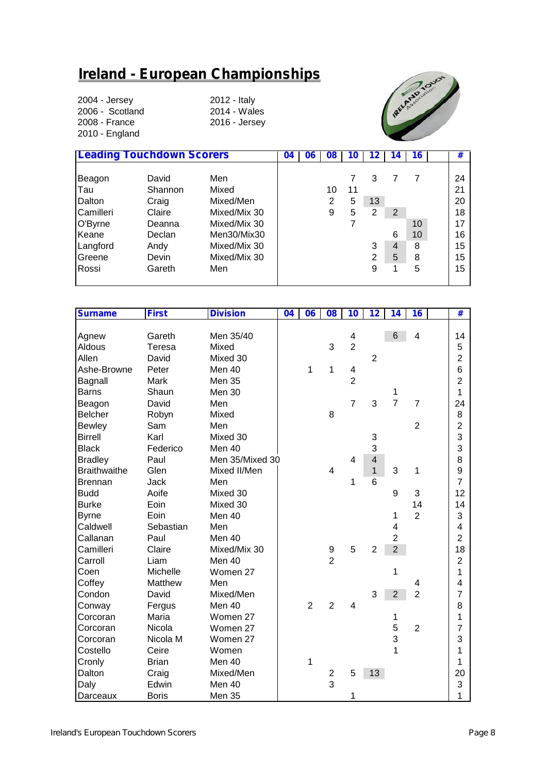## **Ireland - European Championships**

2004 - Jersey 2012 - Italy 2006 - Scotland<br>2008 - France 2010 - England

2016 - Jersey



|           | <b>Leading Touchdown Scorers</b> |              | 04 | <b>UD</b> | ี บช           |    |    |                | 16 | #  |
|-----------|----------------------------------|--------------|----|-----------|----------------|----|----|----------------|----|----|
|           |                                  |              |    |           |                |    |    |                |    |    |
| Beagon    | David                            | Men          |    |           |                |    | 3  |                |    | 24 |
| Tau       | Shannon                          | Mixed        |    |           | 10             | 11 |    |                |    | 21 |
| Dalton    | Craig                            | Mixed/Men    |    |           | $\overline{2}$ | 5  | 13 |                |    | 20 |
| Camilleri | Claire                           | Mixed/Mix 30 |    |           | 9              | 5  | 2  | 2              |    | 18 |
| O'Byrne   | Deanna                           | Mixed/Mix 30 |    |           |                |    |    |                | 10 | 17 |
| Keane     | Declan                           | Men30/Mix30  |    |           |                |    |    | 6              | 10 | 16 |
| Langford  | Andy                             | Mixed/Mix 30 |    |           |                |    | 3  | $\overline{4}$ | 8  | 15 |
| Greene    | Devin                            | Mixed/Mix 30 |    |           |                |    | 2  | 5              | 8  | 15 |
| Rossi     | Gareth                           | Men          |    |           |                |    | 9  |                | 5  | 15 |
|           |                                  |              |    |           |                |    |    |                |    |    |

| <b>Surname</b>      | <b>First</b> | <b>Division</b> | $\overline{04}$ | 06             | 08                      | 10             | 12                      | 14             | 16                      | $\overline{\textbf{t}}$ |  |
|---------------------|--------------|-----------------|-----------------|----------------|-------------------------|----------------|-------------------------|----------------|-------------------------|-------------------------|--|
|                     |              |                 |                 |                |                         |                |                         |                |                         |                         |  |
| Agnew               | Gareth       | Men 35/40       |                 |                |                         | 4              |                         | 6              | $\overline{\mathbf{4}}$ | 14                      |  |
| Aldous              | Teresa       | Mixed           |                 |                | 3                       | $\overline{2}$ |                         |                |                         | 5                       |  |
| Allen               | David        | Mixed 30        |                 |                |                         |                | $\overline{2}$          |                |                         | $\overline{2}$          |  |
| Ashe-Browne         | Peter        | Men 40          |                 | 1              | 1                       | 4              |                         |                |                         | 6                       |  |
| Bagnall             | Mark         | Men 35          |                 |                |                         | $\overline{c}$ |                         |                |                         | $\overline{2}$          |  |
| <b>Barns</b>        | Shaun        | Men 30          |                 |                |                         |                |                         | 1              |                         | $\mathbf{1}$            |  |
| Beagon              | David        | Men             |                 |                |                         | $\overline{7}$ | 3                       | $\overline{7}$ | $\overline{7}$          | 24                      |  |
| <b>Belcher</b>      | Robyn        | Mixed           |                 |                | 8                       |                |                         |                |                         | 8                       |  |
| <b>Bewley</b>       | Sam          | Men             |                 |                |                         |                |                         |                | $\overline{2}$          | $\overline{2}$          |  |
| <b>Birrell</b>      | Karl         | Mixed 30        |                 |                |                         |                | 3                       |                |                         | 3                       |  |
| <b>Black</b>        | Federico     | Men 40          |                 |                |                         |                | 3                       |                |                         | 3                       |  |
| <b>Bradley</b>      | Paul         | Men 35/Mixed 30 |                 |                |                         | 4              | $\overline{\mathbf{4}}$ |                |                         | 8                       |  |
| <b>Braithwaithe</b> | Glen         | Mixed II/Men    |                 |                | 4                       |                | $\mathbf{1}$            | 3              | 1                       | 9                       |  |
| <b>Brennan</b>      | <b>Jack</b>  | Men             |                 |                |                         | 1              | $6\phantom{1}$          |                |                         | $\overline{7}$          |  |
| <b>Budd</b>         | Aoife        | Mixed 30        |                 |                |                         |                |                         | 9              | 3                       | 12                      |  |
| <b>Burke</b>        | Eoin         | Mixed 30        |                 |                |                         |                |                         |                | 14                      | 14                      |  |
| <b>Byrne</b>        | Eoin         | Men 40          |                 |                |                         |                |                         | 1              | $\overline{2}$          | 3                       |  |
| Caldwell            | Sebastian    | Men             |                 |                |                         |                |                         | 4              |                         | 4                       |  |
| Callanan            | Paul         | Men 40          |                 |                |                         |                |                         | $\overline{2}$ |                         | $\overline{2}$          |  |
| Camilleri           | Claire       | Mixed/Mix 30    |                 |                | $\boldsymbol{9}$        | 5              | $\overline{2}$          | $\overline{2}$ |                         | 18                      |  |
| Carroll             | Liam         | Men 40          |                 |                | $\overline{2}$          |                |                         |                |                         | $\overline{2}$          |  |
| Coen                | Michelle     | Women 27        |                 |                |                         |                |                         | 1              |                         | 1                       |  |
| Coffey              | Matthew      | Men             |                 |                |                         |                |                         |                | 4                       | 4                       |  |
| Condon              | David        | Mixed/Men       |                 |                |                         |                | 3                       | $\overline{2}$ | $\overline{2}$          | 7                       |  |
| Conway              | Fergus       | Men 40          |                 | $\overline{2}$ | $\overline{2}$          | 4              |                         |                |                         | 8                       |  |
| Corcoran            | Maria        | Women 27        |                 |                |                         |                |                         | 1              |                         | 1                       |  |
| Corcoran            | Nicola       | Women 27        |                 |                |                         |                |                         | 5              | $\overline{2}$          | 7                       |  |
| Corcoran            | Nicola M     | Women 27        |                 |                |                         |                |                         | 3              |                         | 3                       |  |
| Costello            | Ceire        | Women           |                 |                |                         |                |                         | 1              |                         | 1                       |  |
| Cronly              | <b>Brian</b> | Men 40          |                 | 1              |                         |                |                         |                |                         | 1                       |  |
| Dalton              | Craig        | Mixed/Men       |                 |                | $\overline{\mathbf{c}}$ | 5              | 13                      |                |                         | 20                      |  |
| Daly                | Edwin        | Men 40          |                 |                | $\overline{3}$          |                |                         |                |                         | 3                       |  |
| Darceaux            | <b>Boris</b> | <b>Men 35</b>   |                 |                |                         | 1              |                         |                |                         | 1                       |  |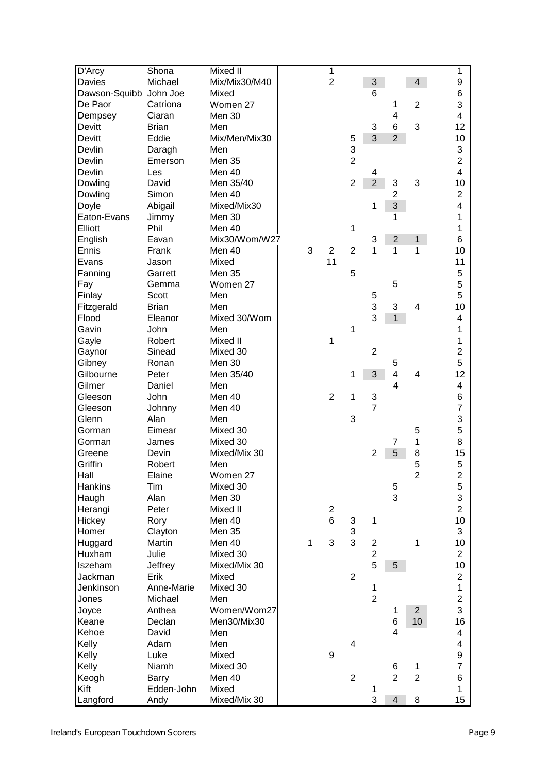| D'Arcy         | Shona        | Mixed II      |   | 1                |                |                |                           |                         | 1                       |  |
|----------------|--------------|---------------|---|------------------|----------------|----------------|---------------------------|-------------------------|-------------------------|--|
| Davies         | Michael      | Mix/Mix30/M40 |   | $\overline{2}$   |                | 3              |                           | 4                       | 9                       |  |
| Dawson-Squibb  | John Joe     | Mixed         |   |                  |                | 6              |                           |                         | 6                       |  |
| De Paor        | Catriona     | Women 27      |   |                  |                |                | 1                         | $\overline{2}$          | 3                       |  |
| Dempsey        | Ciaran       | Men 30        |   |                  |                |                | 4                         |                         | 4                       |  |
| Devitt         | <b>Brian</b> | Men           |   |                  |                | 3              | 6                         | 3                       | 12                      |  |
| <b>Devitt</b>  | Eddie        | Mix/Men/Mix30 |   |                  | 5              | 3              | $\overline{2}$            |                         | 10                      |  |
| Devlin         | Daragh       | Men           |   |                  | 3              |                |                           |                         | 3                       |  |
| Devlin         | Emerson      | <b>Men 35</b> |   |                  | $\overline{2}$ |                |                           |                         | $\overline{2}$          |  |
| Devlin         | Les          | Men 40        |   |                  |                | 4              |                           |                         | 4                       |  |
| Dowling        | David        | Men 35/40     |   |                  | $\overline{2}$ | $\overline{2}$ | $\ensuremath{\mathsf{3}}$ | 3                       | 10                      |  |
| Dowling        | Simon        | Men 40        |   |                  |                |                | $\overline{2}$            |                         | $\overline{2}$          |  |
| Doyle          | Abigail      | Mixed/Mix30   |   |                  |                | 1              | 3                         |                         | 4                       |  |
| Eaton-Evans    | Jimmy        | Men 30        |   |                  |                |                | 1                         |                         | 1                       |  |
| Elliott        | Phil         | Men 40        |   |                  | 1              |                |                           |                         | 1                       |  |
| English        | Eavan        | Mix30/Wom/W27 |   |                  |                | 3              | $\overline{2}$            | 1                       | 6                       |  |
| Ennis          | Frank        | Men 40        | 3 | $\overline{2}$   | $\overline{2}$ | 1              | 1                         | 1                       | 10                      |  |
| Evans          | Jason        | Mixed         |   | 11               |                |                |                           |                         | 11                      |  |
| Fanning        | Garrett      | Men 35        |   |                  | 5              |                |                           |                         | 5                       |  |
| Fay            | Gemma        | Women 27      |   |                  |                |                | 5                         |                         | 5                       |  |
| Finlay         | <b>Scott</b> | Men           |   |                  |                | 5              |                           |                         | 5                       |  |
| Fitzgerald     | <b>Brian</b> | Men           |   |                  |                | 3              | $\ensuremath{\mathsf{3}}$ | 4                       | 10                      |  |
|                |              |               |   |                  |                | 3              | $\mathbf{1}$              |                         |                         |  |
| Flood          | Eleanor      | Mixed 30/Wom  |   |                  | 1              |                |                           |                         | 4<br>1                  |  |
| Gavin          | John         | Men           |   |                  |                |                |                           |                         |                         |  |
| Gayle          | Robert       | Mixed II      |   | 1                |                |                |                           |                         | 1                       |  |
| Gaynor         | Sinead       | Mixed 30      |   |                  |                | $\overline{2}$ |                           |                         | $\overline{2}$          |  |
| Gibney         | Ronan        | Men 30        |   |                  |                |                | 5                         |                         | 5                       |  |
| Gilbourne      | Peter        | Men 35/40     |   |                  | 1              | 3              | 4                         | 4                       | 12                      |  |
| Gilmer         | Daniel       | Men           |   |                  |                |                | 4                         |                         | 4                       |  |
| Gleeson        | John         | Men 40        |   | $\overline{2}$   | 1              | 3              |                           |                         | 6                       |  |
| Gleeson        | Johnny       | Men 40        |   |                  |                | 7              |                           |                         | $\overline{7}$          |  |
| Glenn          | Alan         | Men           |   |                  | 3              |                |                           |                         | 3                       |  |
| Gorman         | Eimear       | Mixed 30      |   |                  |                |                |                           | 5                       | 5                       |  |
| Gorman         | James        | Mixed 30      |   |                  |                |                | 7                         | 1                       | 8                       |  |
| Greene         | Devin        | Mixed/Mix 30  |   |                  |                | $\overline{2}$ | 5                         | 8                       | 15                      |  |
| Griffin        | Robert       | Men           |   |                  |                |                |                           | 5                       | 5                       |  |
| Hall           | Elaine       | Women 27      |   |                  |                |                |                           | $\overline{\mathbf{c}}$ | $\overline{\mathbf{c}}$ |  |
| <b>Hankins</b> | Tim          | Mixed 30      |   |                  |                |                | 5                         |                         | 5                       |  |
| Haugh          | Alan         | Men 30        |   |                  |                |                | 3                         |                         | 3                       |  |
| Herangi        | Peter        | Mixed II      |   | $\overline{c}$   |                |                |                           |                         | $\overline{2}$          |  |
| Hickey         | Rory         | Men 40        |   | $6\phantom{a}$   | 3              | 1              |                           |                         | 10                      |  |
| Homer          | Clayton      | <b>Men 35</b> |   |                  | 3              |                |                           |                         | 3                       |  |
| Huggard        | Martin       | Men 40        | 1 | 3                | 3              | $\overline{c}$ |                           | 1                       | 10                      |  |
| Huxham         | Julie        | Mixed 30      |   |                  |                | $\overline{2}$ |                           |                         | $\overline{2}$          |  |
| Iszeham        | Jeffrey      | Mixed/Mix 30  |   |                  |                | 5              | 5 <sup>5</sup>            |                         | 10                      |  |
| Jackman        | Erik         | Mixed         |   |                  | $\overline{2}$ |                |                           |                         | $\mathbf 2$             |  |
| Jenkinson      | Anne-Marie   | Mixed 30      |   |                  |                | 1              |                           |                         | 1                       |  |
| Jones          | Michael      | Men           |   |                  |                | $\overline{2}$ |                           |                         | $\overline{2}$          |  |
| Joyce          | Anthea       | Women/Wom27   |   |                  |                |                | 1                         | $\overline{c}$          | 3                       |  |
| Keane          | Declan       | Men30/Mix30   |   |                  |                |                | 6                         | 10                      | 16                      |  |
| Kehoe          | David        | Men           |   |                  |                |                | 4                         |                         | 4                       |  |
| Kelly          | Adam         | Men           |   |                  | 4              |                |                           |                         | 4                       |  |
| Kelly          | Luke         | Mixed         |   | $\boldsymbol{9}$ |                |                |                           |                         | 9                       |  |
| Kelly          | Niamh        | Mixed 30      |   |                  |                |                | 6                         | 1                       | $\overline{7}$          |  |
| Keogh          | Barry        | Men 40        |   |                  | $\overline{2}$ |                | $\overline{2}$            | $\overline{2}$          | 6                       |  |
| Kift           | Edden-John   | Mixed         |   |                  |                | 1              |                           |                         | 1                       |  |
| Langford       | Andy         | Mixed/Mix 30  |   |                  |                | 3              | $\overline{\mathbf{4}}$   | 8                       | 15                      |  |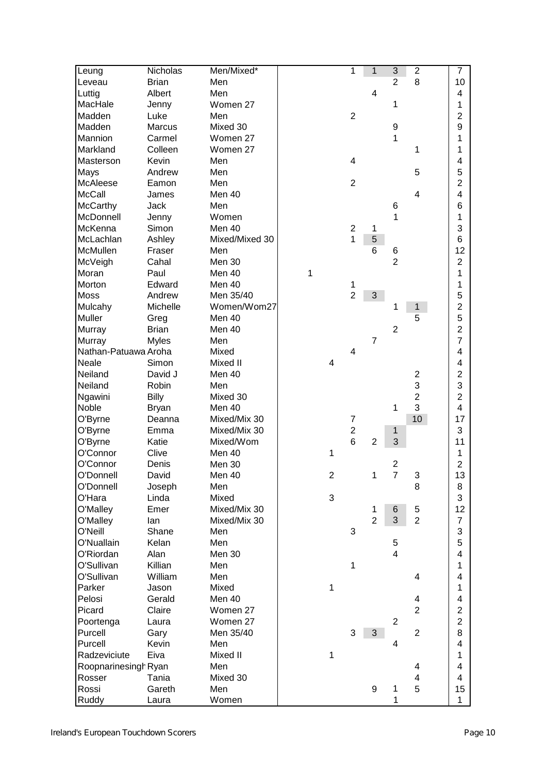| Leung                | Nicholas     | Men/Mixed*     |   |   | 1                   | 1                | $\overline{3}$          | $\overline{\mathbf{c}}$ | $\overline{7}$          |  |
|----------------------|--------------|----------------|---|---|---------------------|------------------|-------------------------|-------------------------|-------------------------|--|
| Leveau               | <b>Brian</b> | Men            |   |   |                     |                  | $\overline{2}$          | 8                       | 10                      |  |
| Luttig               | Albert       | Men            |   |   |                     | 4                |                         |                         | 4                       |  |
| MacHale              | Jenny        | Women 27       |   |   |                     |                  | 1                       |                         | 1                       |  |
| Madden               | Luke         | Men            |   |   | $\mathbf 2$         |                  |                         |                         | $\overline{c}$          |  |
| Madden               | Marcus       | Mixed 30       |   |   |                     |                  | 9                       |                         | 9                       |  |
| Mannion              | Carmel       | Women 27       |   |   |                     |                  | 1                       |                         | 1                       |  |
| Markland             | Colleen      | Women 27       |   |   |                     |                  |                         | 1                       | 1                       |  |
| Masterson            | Kevin        | Men            |   |   | 4                   |                  |                         |                         | 4                       |  |
| Mays                 | Andrew       | Men            |   |   |                     |                  |                         | 5                       | 5                       |  |
| McAleese             | Eamon        | Men            |   |   | $\overline{2}$      |                  |                         |                         | $\overline{c}$          |  |
| <b>McCall</b>        | James        | Men 40         |   |   |                     |                  |                         | 4                       | 4                       |  |
| <b>McCarthy</b>      | Jack         | Men            |   |   |                     |                  | 6                       |                         | 6                       |  |
| McDonnell            | Jenny        | Women          |   |   |                     |                  | 1                       |                         | 1                       |  |
| McKenna              | Simon        | Men 40         |   |   | $\overline{2}$      | 1                |                         |                         | 3                       |  |
| McLachlan            | Ashley       | Mixed/Mixed 30 |   |   | 1                   | 5                |                         |                         | 6                       |  |
| McMullen             | Fraser       | Men            |   |   |                     | 6                |                         |                         | 12                      |  |
| McVeigh              | Cahal        | Men 30         |   |   |                     |                  | 6<br>$\overline{2}$     |                         | $\overline{c}$          |  |
| Moran                | Paul         | Men 40         |   |   |                     |                  |                         |                         |                         |  |
|                      |              |                | 1 |   |                     |                  |                         |                         | 1                       |  |
| Morton               | Edward       | Men 40         |   |   | 1<br>$\overline{2}$ |                  |                         |                         | 1<br>5                  |  |
| <b>Moss</b>          | Andrew       | Men 35/40      |   |   |                     | 3                |                         |                         |                         |  |
| Mulcahy              | Michelle     | Women/Wom27    |   |   |                     |                  | 1                       | 1                       | $\overline{2}$          |  |
| <b>Muller</b>        | Greg         | Men 40         |   |   |                     |                  |                         | 5                       | 5                       |  |
| <b>Murray</b>        | <b>Brian</b> | Men 40         |   |   |                     |                  | $\overline{2}$          |                         | $\overline{2}$          |  |
| <b>Murray</b>        | <b>Myles</b> | Men            |   |   |                     | $\overline{7}$   |                         |                         | $\overline{7}$          |  |
| Nathan-Patuawa Aroha |              | Mixed          |   |   | 4                   |                  |                         |                         | 4                       |  |
| Neale                | Simon        | Mixed II       |   | 4 |                     |                  |                         |                         | 4                       |  |
| Neiland              | David J      | Men 40         |   |   |                     |                  |                         | $\frac{2}{3}$           | $\overline{c}$          |  |
| Neiland              | Robin        | Men            |   |   |                     |                  |                         |                         | 3                       |  |
| Ngawini              | <b>Billy</b> | Mixed 30       |   |   |                     |                  |                         | $\overline{\mathbf{c}}$ | $\overline{c}$          |  |
| Noble                | <b>Bryan</b> | Men 40         |   |   |                     |                  | 1                       | 3                       | 4                       |  |
| O'Byrne              | Deanna       | Mixed/Mix 30   |   |   | $\overline{7}$      |                  |                         | 10                      | 17                      |  |
| O'Byrne              | Emma         | Mixed/Mix 30   |   |   | $\overline{c}$      |                  | 1                       |                         | 3                       |  |
| O'Byrne              | Katie        | Mixed/Wom      |   |   | 6                   | $\overline{2}$   | 3                       |                         | 11                      |  |
| O'Connor             | Clive        | Men 40         |   | 1 |                     |                  |                         |                         | 1                       |  |
| O'Connor             | Denis        | Men 30         |   |   |                     |                  | $\boldsymbol{2}$        |                         | $\overline{c}$          |  |
| O'Donnell            | David        | Men 40         |   | 2 |                     |                  | $\overline{7}$          | 3                       | 13                      |  |
| O'Donnell            | Joseph       | Men            |   |   |                     |                  |                         | 8                       | 8                       |  |
| O'Hara               | Linda        | Mixed          |   | 3 |                     |                  |                         |                         | 3                       |  |
| O'Malley             | Emer         | Mixed/Mix 30   |   |   |                     | 1                | 6                       | 5                       | 12                      |  |
| O'Malley             | lan          | Mixed/Mix 30   |   |   |                     | $\overline{2}$   | 3                       | $\overline{2}$          | $\overline{7}$          |  |
| O'Neill              | Shane        | Men            |   |   | 3                   |                  |                         |                         | 3                       |  |
| O'Nuallain           | Kelan        | Men            |   |   |                     |                  | 5                       |                         | 5                       |  |
| O'Riordan            | Alan         | Men 30         |   |   |                     |                  | $\overline{\mathbf{4}}$ |                         | $\overline{4}$          |  |
| O'Sullivan           | Killian      | Men            |   |   | 1                   |                  |                         |                         | 1                       |  |
| O'Sullivan           | William      | Men            |   |   |                     |                  |                         | 4                       | 4                       |  |
| Parker               | Jason        | Mixed          |   | 1 |                     |                  |                         |                         | 1                       |  |
| Pelosi               | Gerald       | Men 40         |   |   |                     |                  |                         | 4                       | 4                       |  |
| Picard               | Claire       | Women 27       |   |   |                     |                  |                         | $\overline{2}$          | $\overline{2}$          |  |
| Poortenga            | Laura        | Women 27       |   |   |                     |                  | $\overline{2}$          |                         | $\overline{2}$          |  |
| Purcell              | Gary         | Men 35/40      |   |   | 3                   | 3                |                         | $\overline{2}$          | 8                       |  |
| Purcell              | Kevin        | Men            |   |   |                     |                  | $\overline{\mathbf{4}}$ |                         | 4                       |  |
| Radzeviciute         | Eiva         | Mixed II       |   | 1 |                     |                  |                         |                         | 1                       |  |
| Roopnarinesingh Ryan |              | Men            |   |   |                     |                  |                         | 4                       | 4                       |  |
| Rosser               | Tania        | Mixed 30       |   |   |                     |                  |                         | 4                       | $\overline{\mathbf{4}}$ |  |
| Rossi                | Gareth       | Men            |   |   |                     | $\boldsymbol{9}$ | 1                       | 5                       | 15                      |  |
| Ruddy                | Laura        | Women          |   |   |                     |                  | 1                       |                         | $\mathbf{1}$            |  |
|                      |              |                |   |   |                     |                  |                         |                         |                         |  |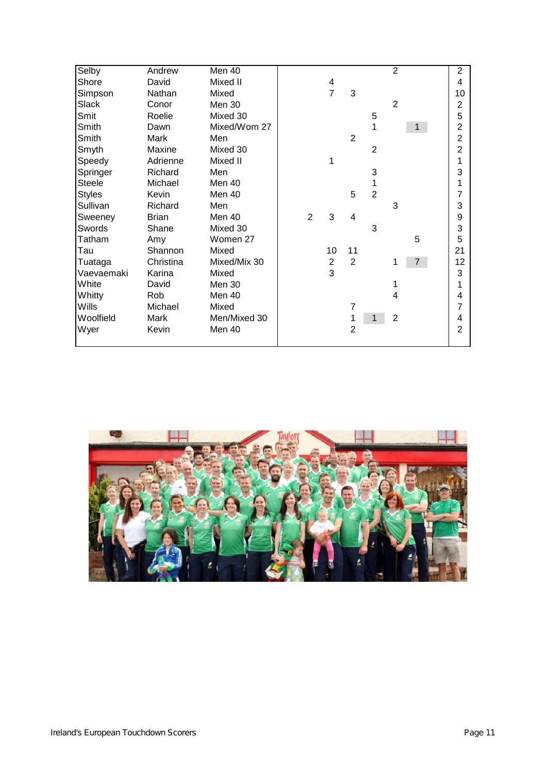| Selby         | Andrew       | Men 40       |                |                |                |                | $\overline{2}$ |                | $\overline{2}$ |  |
|---------------|--------------|--------------|----------------|----------------|----------------|----------------|----------------|----------------|----------------|--|
| Shore         | David        | Mixed II     |                | 4              |                |                |                |                | 4              |  |
| Simpson       | Nathan       | Mixed        |                | $\overline{7}$ | $\sqrt{3}$     |                |                |                | 10             |  |
| Slack         | Conor        | Men 30       |                |                |                |                | $\overline{2}$ |                | 2              |  |
| Smit          | Roelie       | Mixed 30     |                |                |                | 5              |                |                | 5              |  |
| Smith         | Dawn         | Mixed/Wom 27 |                |                |                |                |                | 1              | 2              |  |
| Smith         | Mark         | Men          |                |                | $\overline{2}$ |                |                |                | $\overline{2}$ |  |
| Smyth         | Maxine       | Mixed 30     |                |                |                | $\overline{2}$ |                |                | $\overline{2}$ |  |
| Speedy        | Adrienne     | Mixed II     |                |                |                |                |                |                |                |  |
| Springer      | Richard      | Men          |                |                |                | 3              |                |                | 3              |  |
| <b>Steele</b> | Michael      | Men 40       |                |                |                |                |                |                |                |  |
| <b>Styles</b> | Kevin        | Men 40       |                |                | 5              | $\overline{2}$ |                |                | 7              |  |
| Sullivan      | Richard      | Men          |                |                |                |                | 3              |                | 3              |  |
| Sweeney       | <b>Brian</b> | Men 40       | $\overline{2}$ | 3              | 4              |                |                |                | 9              |  |
| Swords        | Shane        | Mixed 30     |                |                |                | 3              |                |                | 3              |  |
| Tatham        | Amy          | Women 27     |                |                |                |                |                | 5              | 5              |  |
| Tau           | Shannon      | Mixed        |                | 10             | 11             |                |                |                | 21             |  |
| Tuataga       | Christina    | Mixed/Mix 30 |                | 2              | 2              |                | 1              | $\overline{7}$ | 12             |  |
| Vaevaemaki    | Karina       | Mixed        |                | 3              |                |                |                |                | 3              |  |
| White         | David        | Men 30       |                |                |                |                |                |                |                |  |
| Whitty        | Rob          | Men 40       |                |                |                |                | 4              |                | 4              |  |
| Wills         | Michael      | Mixed        |                |                | 7              |                |                |                | 7              |  |
| Woolfield     | Mark         | Men/Mixed 30 |                |                |                |                | $\overline{2}$ |                | 4              |  |
| Wyer          | Kevin        | Men 40       |                |                | $\overline{2}$ |                |                |                | 2              |  |
|               |              |              |                |                |                |                |                |                |                |  |

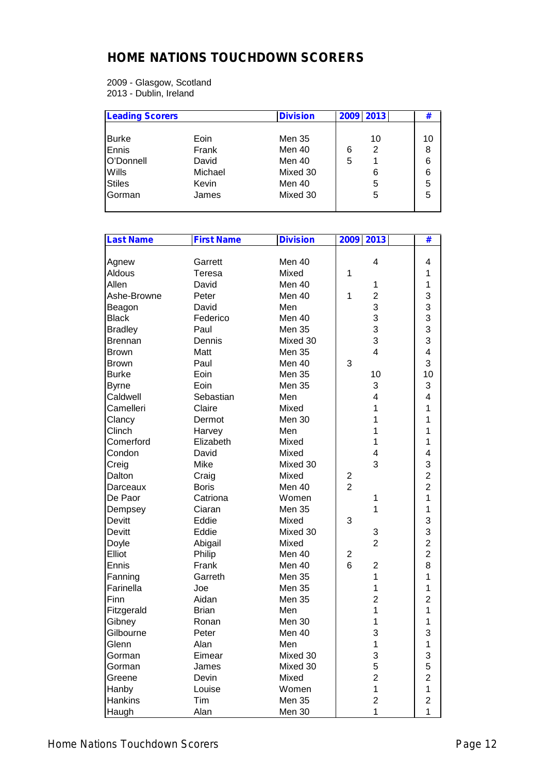## **HOME NATIONS TOUCHDOWN SCORERS**

2009 - Glasgow, Scotland 2013 - Dublin, Ireland

| <b>Leading Scorers</b> |         | <b>Division</b> | 2009 2013 | #  |
|------------------------|---------|-----------------|-----------|----|
| <b>Burke</b>           | Eoin    | Men 35          | 10        | 10 |
|                        |         |                 |           |    |
| Ennis                  | Frank   | Men 40          | 2<br>6    | 8  |
| O'Donnell              | David   | Men 40          | 5         | 6  |
| <b>Wills</b>           | Michael | Mixed 30        | 6         | 6  |
| <b>Stiles</b>          | Kevin   | Men 40          | 5         | 5  |
| Gorman                 | James   | Mixed 30        | 5         | 5  |
|                        |         |                 |           |    |

| <b>Last Name</b> | <b>First Name</b> | <b>Division</b> |                | 2009 2013        | #                       |  |
|------------------|-------------------|-----------------|----------------|------------------|-------------------------|--|
|                  |                   |                 |                |                  |                         |  |
| Agnew            | Garrett           | Men 40          |                | 4                | 4                       |  |
| Aldous           | Teresa            | Mixed           | 1              |                  | 1                       |  |
| Allen            | David             | Men 40          |                | 1                | 1                       |  |
| Ashe-Browne      | Peter             | Men 40          | 1              | $\overline{2}$   | 3                       |  |
| Beagon           | David             | Men             |                | 3                | 3                       |  |
| <b>Black</b>     | Federico          | Men 40          |                | 3                | 3                       |  |
| <b>Bradley</b>   | Paul              | <b>Men 35</b>   |                | 3                | 3                       |  |
| <b>Brennan</b>   | Dennis            | Mixed 30        |                | 3                | 3                       |  |
| <b>Brown</b>     | Matt              | <b>Men 35</b>   |                | $\overline{4}$   | $\overline{\mathbf{4}}$ |  |
| <b>Brown</b>     | Paul              | Men 40          | 3              |                  | 3                       |  |
| <b>Burke</b>     | Eoin              | <b>Men 35</b>   |                | 10               | 10                      |  |
| <b>Byrne</b>     | Eoin              | Men 35          |                | 3                | 3                       |  |
| Caldwell         | Sebastian         | Men             |                | 4                | 4                       |  |
| Camelleri        | Claire            | Mixed           |                | 1                | 1                       |  |
| Clancy           | Dermot            | Men 30          |                | 1                | 1                       |  |
| Clinch           | Harvey            | Men             |                | 1                | 1                       |  |
| Comerford        | Elizabeth         | Mixed           |                | 1                | 1                       |  |
| Condon           | David             | Mixed           |                | 4                | 4                       |  |
| Creig            | Mike              | Mixed 30        |                | 3                | 3                       |  |
| Dalton           | Craig             | Mixed           | 2              |                  | $\overline{2}$          |  |
| Darceaux         | <b>Boris</b>      | Men 40          | $\overline{2}$ |                  | $\overline{2}$          |  |
| De Paor          | Catriona          | Women           |                | 1                | 1                       |  |
| Dempsey          | Ciaran            | Men 35          |                | 1                | $\mathbf 1$             |  |
| <b>Devitt</b>    | Eddie             | Mixed           | 3              |                  | 3                       |  |
| Devitt           | Eddie             | Mixed 30        |                | 3                | 3                       |  |
| Doyle            | Abigail           | Mixed           |                | $\overline{2}$   | $\overline{2}$          |  |
| Elliot           | Philip            | Men 40          | 2              |                  | $\overline{2}$          |  |
| Ennis            | Frank             | Men 40          | 6              | $\overline{2}$   | 8                       |  |
| Fanning          | Garreth           | <b>Men 35</b>   |                | 1                | $\mathbf 1$             |  |
| Farinella        | Joe               | Men 35          |                | 1                | $\mathbf 1$             |  |
| Finn             | Aidan             | Men 35          |                | $\overline{2}$   | $\overline{c}$          |  |
| Fitzgerald       | <b>Brian</b>      | Men             |                | 1                | 1                       |  |
| Gibney           | Ronan             | Men 30          |                | 1                | 1                       |  |
| Gilbourne        | Peter             | Men 40          |                | 3                | 3                       |  |
| Glenn            | Alan              | Men             |                | 1                | $\mathbf{1}$            |  |
| Gorman           | Eimear            | Mixed 30        |                | 3                | 3                       |  |
| Gorman           | James             | Mixed 30        |                | 5                | 5                       |  |
| Greene           | Devin             | Mixed           |                | $\boldsymbol{2}$ | $\mathbf{2}$            |  |
| Hanby            | Louise            | Women           |                | 1                | $\mathbf{1}$            |  |
| Hankins          | Tim               | <b>Men 35</b>   |                | $\boldsymbol{2}$ | 2                       |  |
| Haugh            | Alan              | Men 30          |                | 1                | $\overline{1}$          |  |